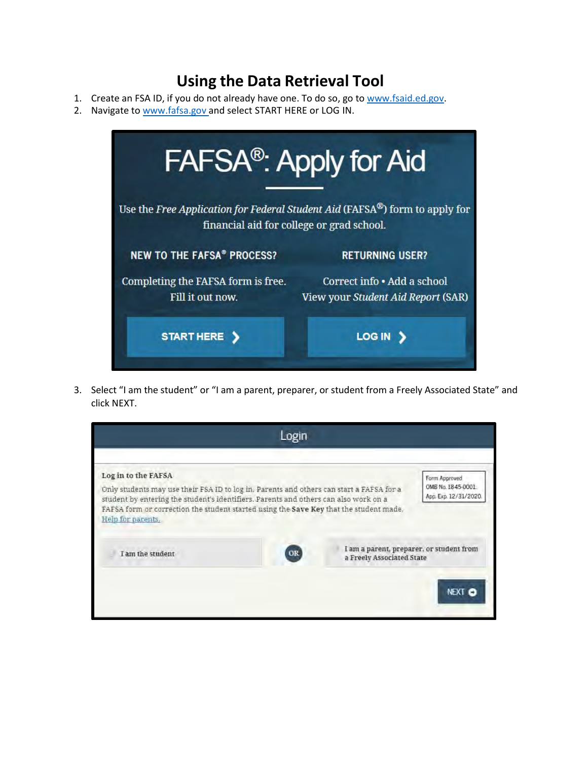## **Using the Data Retrieval Tool**

- 1. Create an FSA ID, if you do not already have one. To do so, go to [www.fsaid.ed.gov.](http://www.fsaid.ed.gov/)
- 2. Navigate t[o www.fafsa.gov](http://www.fafsa.gov/) and select START HERE or LOG IN.

|                                    | <b>FAFSA<sup>®</sup>: Apply for Aid</b>                                     |
|------------------------------------|-----------------------------------------------------------------------------|
|                                    | Use the Free Application for Federal Student Aid (FAFSA®) form to apply for |
|                                    | financial aid for college or grad school.                                   |
| <b>NEW TO THE FAFSA® PROCESS?</b>  | <b>RETURNING USER?</b>                                                      |
| Completing the FAFSA form is free. | Correct info . Add a school                                                 |
| Fill it out now.                   | View your Student Aid Report (SAR)                                          |
| <b>START HERE</b>                  | <b>LOG IN</b>                                                               |

3. Select "I am the student" or "I am a parent, preparer, or student from a Freely Associated State" and click NEXT.

|                                                                                                                                                                                                                                                                                                                        | Login |                                                                       |                                                              |
|------------------------------------------------------------------------------------------------------------------------------------------------------------------------------------------------------------------------------------------------------------------------------------------------------------------------|-------|-----------------------------------------------------------------------|--------------------------------------------------------------|
|                                                                                                                                                                                                                                                                                                                        |       |                                                                       |                                                              |
| Log in to the FAFSA<br>Only students may use their FSA ID to log in. Parents and others can start a FAFSA for a<br>student by entering the student's identifiers. Parents and others can also work on a<br>FAFSA form or correction the student started using the Save Key that the student made.<br>Help for parents, |       |                                                                       | Form Approved<br>OMB No. 1845-0001.<br>Арр. Ехр. 12/31/2020. |
| I am the student                                                                                                                                                                                                                                                                                                       | OR    | I am a parent, preparer, or student from<br>a Freely Associated State |                                                              |
|                                                                                                                                                                                                                                                                                                                        |       |                                                                       | NEXT CO                                                      |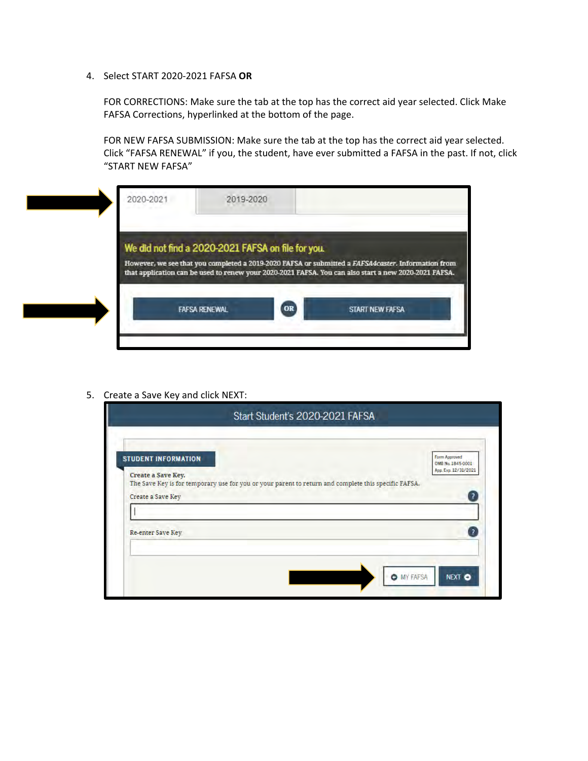4. Select START 2020-2021 FAFSA **OR**

FOR CORRECTIONS: Make sure the tab at the top has the correct aid year selected. Click Make FAFSA Corrections, hyperlinked at the bottom of the page.

FOR NEW FAFSA SUBMISSION: Make sure the tab at the top has the correct aid year selected. Click "FAFSA RENEWAL" if you, the student, have ever submitted a FAFSA in the past. If not, click "START NEW FAFSA"

| 2020-2021                                          | 2019-2020 |    |                                                                                                                                                                                                             |
|----------------------------------------------------|-----------|----|-------------------------------------------------------------------------------------------------------------------------------------------------------------------------------------------------------------|
| We did not find a 2020-2021 FAFSA on file for you. |           |    |                                                                                                                                                                                                             |
|                                                    |           |    | However, we see that you completed a 2019-2020 FAFSA or submitted a FAFSA4caster. Information from<br>that application can be used to renew your 2020-2021 FAFSA. You can also start a new 2020-2021 FAFSA. |
| <b>FAFSA RENEWAL</b>                               |           | OR | START NEW FAFSA                                                                                                                                                                                             |
|                                                    |           |    |                                                                                                                                                                                                             |

5. Create a Save Key and click NEXT:

|                                                  | Start Student's 2020-2021 FAFSA                                                                                        |
|--------------------------------------------------|------------------------------------------------------------------------------------------------------------------------|
| <b>STUDENT INFORMATION</b><br>Create a Save Key. | Form Approved<br>OMB No. 1845-0001<br>Арр. Ехр. 12/31/2021                                                             |
| Create a Save Key                                | The Save Key is for temporary use for you or your parent to return and complete this specific FAFSA.<br>$\overline{?}$ |
| Re-enter Save Key                                | $\overline{2}$                                                                                                         |
|                                                  | <b>O</b> MY FAFSA<br><b>NEXT O</b>                                                                                     |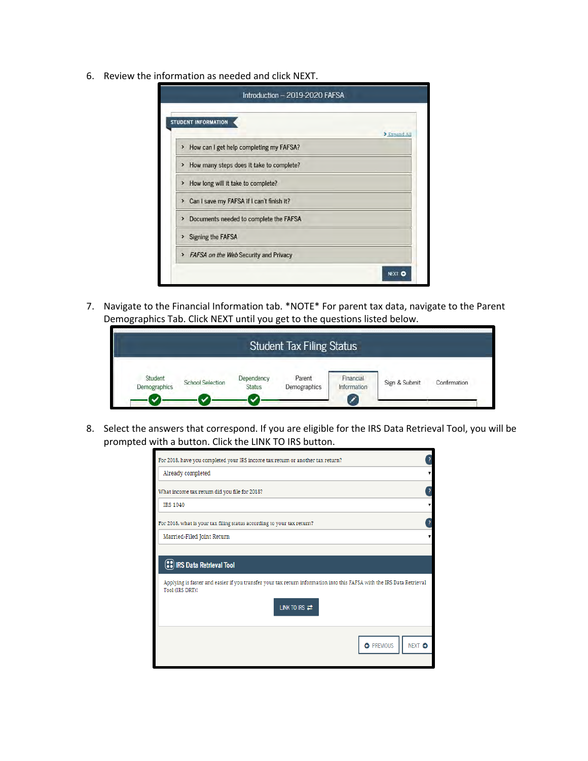6. Review the information as needed and click NEXT.

| <b>STUDENT INFORMATION</b>                  |              |
|---------------------------------------------|--------------|
|                                             | > Expand All |
| > How can I get help completing my FAFSA?   |              |
| > How many steps does it take to complete?  |              |
| > How long will it take to complete?        |              |
| > Can I save my FAFSA if I can't finish it? |              |
| > Documents needed to complete the FAFSA    |              |
| > Signing the FAFSA                         |              |
| > FAFSA on the Web Security and Privacy     |              |

7. Navigate to the Financial Information tab. \*NOTE\* For parent tax data, navigate to the Parent Demographics Tab. Click NEXT until you get to the questions listed below.



8. Select the answers that correspond. If you are eligible for the IRS Data Retrieval Tool, you will be prompted with a button. Click the LINK TO IRS button.

| ŗ<br>For 2018, have you completed your IRS income tax return or another tax return?                                                                                                                       |
|-----------------------------------------------------------------------------------------------------------------------------------------------------------------------------------------------------------|
| Already completed<br>v                                                                                                                                                                                    |
| 3<br>What income tax return did you file for 2018?                                                                                                                                                        |
| <b>IRS 1040</b>                                                                                                                                                                                           |
| $\overline{\mathbf{r}}$<br>For 2018, what is your tax filing status according to your tax return?                                                                                                         |
| Married-Filed Joint Return                                                                                                                                                                                |
| (:) IRS Data Retrieval Tool<br>Applying is faster and easier if you transfer your tax return information into this FAFSA with the IRS Data Retrieval<br>Tool (IRS DRT)!<br>LINK TO IRS $\rightleftarrows$ |
| <b>O</b> PREVIOUS<br>NEXT O                                                                                                                                                                               |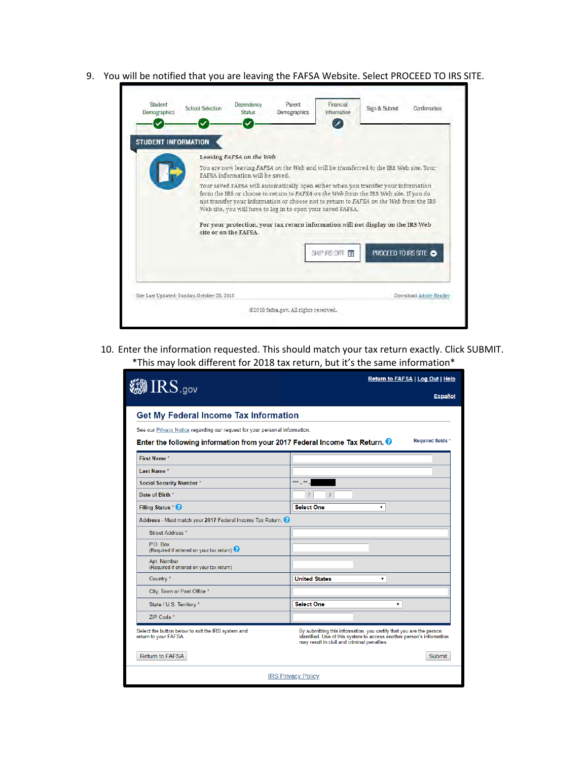9. You will be notified that you are leaving the FAFSA Website. Select PROCEED TO IRS SITE.

| Demographics               | <b>School Selection</b>                     | Dependency<br>Status.            | Parent<br>Demographics                                                                                                                                                                                                                                                                                                             | Financial<br>Information | Sign & Submit       | Confirmation          |
|----------------------------|---------------------------------------------|----------------------------------|------------------------------------------------------------------------------------------------------------------------------------------------------------------------------------------------------------------------------------------------------------------------------------------------------------------------------------|--------------------------|---------------------|-----------------------|
| <b>STUDENT INFORMATION</b> |                                             |                                  |                                                                                                                                                                                                                                                                                                                                    |                          |                     |                       |
|                            |                                             | Leaving FAFSA on the Web         |                                                                                                                                                                                                                                                                                                                                    |                          |                     |                       |
|                            |                                             | FAFSA information will be saved. | You are now leaving FAFSA on the Web and will be transferred to the IRS Web site. Your                                                                                                                                                                                                                                             |                          |                     |                       |
|                            |                                             | site or on the FAFSA.            | from the IRS or choose to return to FAFSA on the Web from the IRS Web site. If you do<br>not transfer your information or choose not to return to FAFSA on the Web from the IRS<br>Web site, you will have to log in to open your saved FAFSA.<br>For your protection, your tax return information will not display on the IRS Web |                          |                     |                       |
|                            |                                             |                                  |                                                                                                                                                                                                                                                                                                                                    | SKIP IRS DRT             | PROCEED TO IRS SITE |                       |
|                            |                                             |                                  |                                                                                                                                                                                                                                                                                                                                    |                          |                     |                       |
|                            | Site Last Updated: Sunday, October 28, 2018 |                                  |                                                                                                                                                                                                                                                                                                                                    |                          |                     | Download Adobe Reader |

10. Enter the information requested. This should match your tax return exactly. Click SUBMIT. \*This may look different for 2018 tax return, but it's the same information\*

| $\textcircled{\tiny IRS.}$ gov                                              | Return to FAFSA   Log Out   Help                                                                                                                                                            |  |  |  |
|-----------------------------------------------------------------------------|---------------------------------------------------------------------------------------------------------------------------------------------------------------------------------------------|--|--|--|
|                                                                             | <b>Español</b>                                                                                                                                                                              |  |  |  |
| <b>Get My Federal Income Tax Information</b>                                |                                                                                                                                                                                             |  |  |  |
| See our Privacy Notice regarding our request for your personal information. |                                                                                                                                                                                             |  |  |  |
| Enter the following information from your 2017 Federal Income Tax Return.   | Required fields *                                                                                                                                                                           |  |  |  |
| <b>First Name*</b>                                                          |                                                                                                                                                                                             |  |  |  |
| Last Name*                                                                  |                                                                                                                                                                                             |  |  |  |
| <b>Social Security Number*</b>                                              | *** **                                                                                                                                                                                      |  |  |  |
| Date of Birth *                                                             |                                                                                                                                                                                             |  |  |  |
| Filing Status * <sup>0</sup>                                                | <b>Select One</b>                                                                                                                                                                           |  |  |  |
| Address - Must match your 2017 Federal Income Tax Return.                   |                                                                                                                                                                                             |  |  |  |
| Street Address <sup>*</sup>                                                 |                                                                                                                                                                                             |  |  |  |
| P.O. Box<br>(Required if entered on your tax return)                        |                                                                                                                                                                                             |  |  |  |
| Apt. Number<br>(Required if entered on your tax return)                     |                                                                                                                                                                                             |  |  |  |
| Country *                                                                   | <b>United States</b><br>۷.                                                                                                                                                                  |  |  |  |
| City, Town or Post Office *                                                 |                                                                                                                                                                                             |  |  |  |
| State / U.S. Territory *                                                    | <b>Select One</b><br>۰                                                                                                                                                                      |  |  |  |
| ZIP Code*                                                                   |                                                                                                                                                                                             |  |  |  |
| Select the button below to exit the IRS system and<br>return to your FAFSA. | By submitting this information, you certify that you are the person<br>identified. Use of this system to access another person's information<br>may result in civil and criminal penalties. |  |  |  |
| <b>Return to FAFSA</b>                                                      | Submit                                                                                                                                                                                      |  |  |  |
|                                                                             | <b>IRS Privacy Policy</b>                                                                                                                                                                   |  |  |  |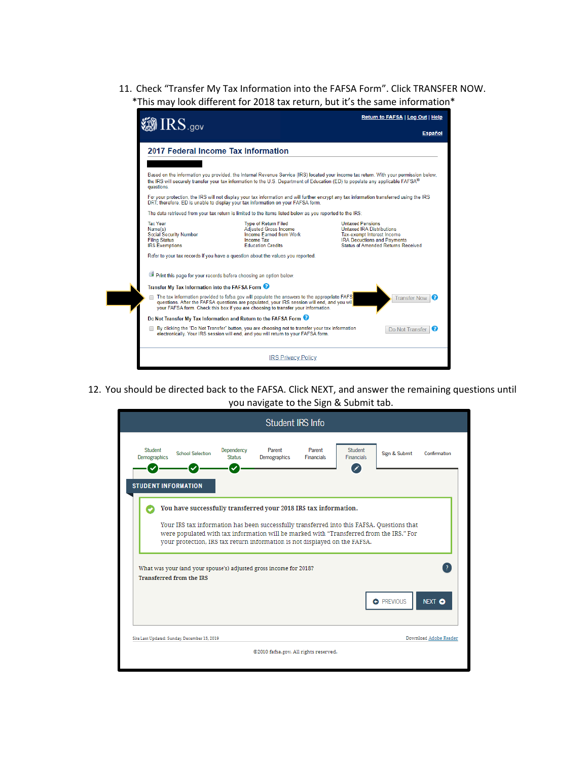11. Check "Transfer My Tax Information into the FAFSA Form". Click TRANSFER NOW. \*This may look different for 2018 tax return, but it's the same information\*



12. You should be directed back to the FAFSA. Click NEXT, and answer the remaining questions until you navigate to the Sign & Submit tab.

|                         |                                              |                             | Student <b>IRS</b> Info                                                                                                                                                                                                                                                                                                                 |                             |                              |                   |                       |
|-------------------------|----------------------------------------------|-----------------------------|-----------------------------------------------------------------------------------------------------------------------------------------------------------------------------------------------------------------------------------------------------------------------------------------------------------------------------------------|-----------------------------|------------------------------|-------------------|-----------------------|
| Student<br>Demographics | <b>School Selection</b>                      | Dependency<br><b>Status</b> | Parent<br>Demographics                                                                                                                                                                                                                                                                                                                  | Parent<br><b>Financials</b> | Student<br><b>Financials</b> | Sign & Submit     | Confirmation          |
|                         | <b>STUDENT INFORMATION</b>                   |                             | You have successfully transferred your 2018 IRS tax information.<br>Your IRS tax information has been successfully transferred into this FAFSA. Questions that<br>were populated with tax information will be marked with "Transferred from the IRS." For<br>your protection. IRS tax return information is not displayed on the FAFSA. |                             |                              |                   |                       |
|                         | <b>Transferred from the IRS</b>              |                             | What was your (and your spouse's) adjusted gross income for 2018?                                                                                                                                                                                                                                                                       |                             |                              | <b>C</b> PREVIOUS | <b>NEXT O</b>         |
|                         | Site Last Updated: Sunday, December 15, 2019 |                             |                                                                                                                                                                                                                                                                                                                                         |                             |                              |                   | Download Adobe Reader |
|                         |                                              |                             | @2010 fafsa.gov. All rights reserved.                                                                                                                                                                                                                                                                                                   |                             |                              |                   |                       |